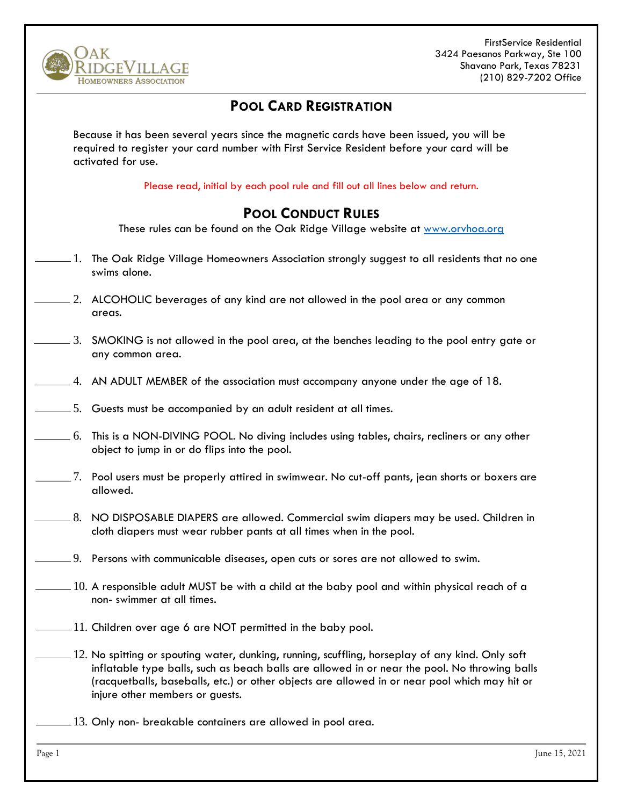

FirstService Residential 3424 Paesanos Parkway, Ste 100 Shavano Park, Texas 78231 (210) 829-7202 Office

## **POOL CARD REGISTRATION**

Because it has been several years since the magnetic cards have been issued, you will be required to register your card number with First Service Resident before your card will be activated for use.

Please read, initial by each pool rule and fill out all lines below and return.

## **POOL CONDUCT RULES**

These rules can be found on the Oak Ridge Village website at [www.orvhoa.org](http://www.orvhoa.org/)

- $\_$  1. The Oak Ridge Village Homeowners Association strongly suggest to all residents that no one swims alone.
	- 2. ALCOHOLIC beverages of any kind are not allowed in the pool area or any common areas.
- $-3.$  SMOKING is not allowed in the pool area, at the benches leading to the pool entry gate or any common area.
- 4. AN ADULT MEMBER of the association must accompany anyone under the age of 18.
- 5. Guests must be accompanied by an adult resident at all times.
- $-6.$  This is a NON-DIVING POOL. No diving includes using tables, chairs, recliners or any other object to jump in or do flips into the pool.
- $\_$  7. Pool users must be properly attired in swimwear. No cut-off pants, jean shorts or boxers are allowed.
	- $\pm$  8. NO DISPOSABLE DIAPERS are allowed. Commercial swim diapers may be used. Children in cloth diapers must wear rubber pants at all times when in the pool.
- $=$  9. Persons with communicable diseases, open cuts or sores are not allowed to swim.
	- $110$ . A responsible adult MUST be with a child at the baby pool and within physical reach of a non- swimmer at all times.
	- $-11$ . Children over age 6 are NOT permitted in the baby pool.
- $-12$ . No spitting or spouting water, dunking, running, scuffling, horseplay of any kind. Only soft inflatable type balls, such as beach balls are allowed in or near the pool. No throwing balls (racquetballs, baseballs, etc.) or other objects are allowed in or near pool which may hit or injure other members or guests.
	- 13. Only non- breakable containers are allowed in pool area.